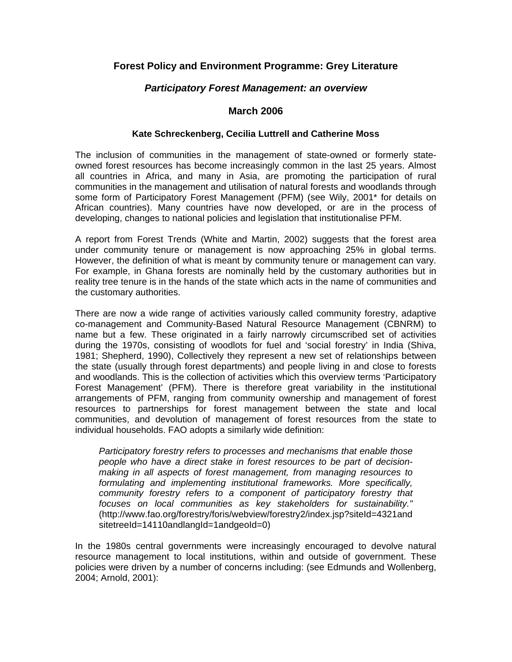# **Forest Policy and Environment Programme: Grey Literature**

## *Participatory Forest Management: an overview*

## **March 2006**

### **Kate Schreckenberg, Cecilia Luttrell and Catherine Moss**

The inclusion of communities in the management of state-owned or formerly stateowned forest resources has become increasingly common in the last 25 years. Almost all countries in Africa, and many in Asia, are promoting the participation of rural communities in the management and utilisation of natural forests and woodlands through some form of Participatory Forest Management (PFM) (see Wily, 2001\* for details on African countries). Many countries have now developed, or are in the process of developing, changes to national policies and legislation that institutionalise PFM.

A report from Forest Trends (White and Martin, 2002) suggests that the forest area under community tenure or management is now approaching 25% in global terms. However, the definition of what is meant by community tenure or management can vary. For example, in Ghana forests are nominally held by the customary authorities but in reality tree tenure is in the hands of the state which acts in the name of communities and the customary authorities.

There are now a wide range of activities variously called community forestry, adaptive co-management and Community-Based Natural Resource Management (CBNRM) to name but a few. These originated in a fairly narrowly circumscribed set of activities during the 1970s, consisting of woodlots for fuel and 'social forestry' in India (Shiva, 1981; Shepherd, 1990), Collectively they represent a new set of relationships between the state (usually through forest departments) and people living in and close to forests and woodlands. This is the collection of activities which this overview terms 'Participatory Forest Management' (PFM). There is therefore great variability in the institutional arrangements of PFM, ranging from community ownership and management of forest resources to partnerships for forest management between the state and local communities, and devolution of management of forest resources from the state to individual households. FAO adopts a similarly wide definition:

*Participatory forestry refers to processes and mechanisms that enable those people who have a direct stake in forest resources to be part of decisionmaking in all aspects of forest management, from managing resources to formulating and implementing institutional frameworks. More specifically, community forestry refers to a component of participatory forestry that focuses on local communities as key stakeholders for sustainability."* (http://www.fao.org/forestry/foris/webview/forestry2/index.jsp?siteId=4321and sitetreeId=14110andlangId=1andgeoId=0)

In the 1980s central governments were increasingly encouraged to devolve natural resource management to local institutions, within and outside of government. These policies were driven by a number of concerns including: (see Edmunds and Wollenberg, 2004; Arnold, 2001):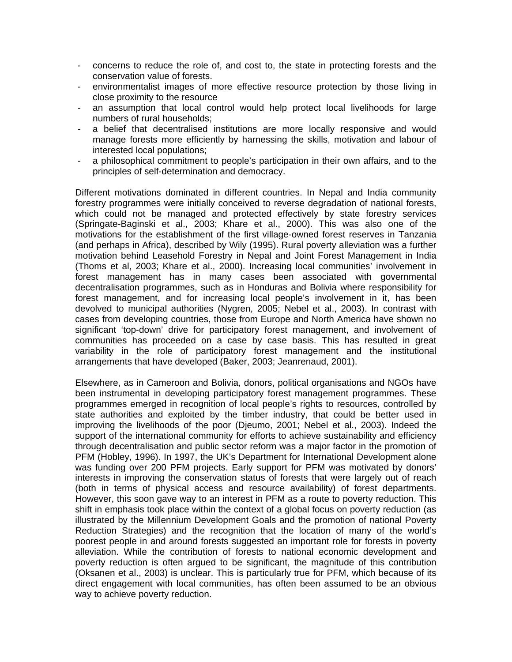- concerns to reduce the role of, and cost to, the state in protecting forests and the conservation value of forests.
- environmentalist images of more effective resource protection by those living in close proximity to the resource
- an assumption that local control would help protect local livelihoods for large numbers of rural households;
- a belief that decentralised institutions are more locally responsive and would manage forests more efficiently by harnessing the skills, motivation and labour of interested local populations;
- a philosophical commitment to people's participation in their own affairs, and to the principles of self-determination and democracy.

Different motivations dominated in different countries. In Nepal and India community forestry programmes were initially conceived to reverse degradation of national forests, which could not be managed and protected effectively by state forestry services (Springate-Baginski et al., 2003; Khare et al., 2000). This was also one of the motivations for the establishment of the first village-owned forest reserves in Tanzania (and perhaps in Africa), described by Wily (1995). Rural poverty alleviation was a further motivation behind Leasehold Forestry in Nepal and Joint Forest Management in India (Thoms et al, 2003; Khare et al., 2000). Increasing local communities' involvement in forest management has in many cases been associated with governmental decentralisation programmes, such as in Honduras and Bolivia where responsibility for forest management, and for increasing local people's involvement in it, has been devolved to municipal authorities (Nygren, 2005; Nebel et al., 2003). In contrast with cases from developing countries, those from Europe and North America have shown no significant 'top-down' drive for participatory forest management, and involvement of communities has proceeded on a case by case basis. This has resulted in great variability in the role of participatory forest management and the institutional arrangements that have developed (Baker, 2003; Jeanrenaud, 2001).

Elsewhere, as in Cameroon and Bolivia, donors, political organisations and NGOs have been instrumental in developing participatory forest management programmes. These programmes emerged in recognition of local people's rights to resources, controlled by state authorities and exploited by the timber industry, that could be better used in improving the livelihoods of the poor (Djeumo, 2001; Nebel et al., 2003). Indeed the support of the international community for efforts to achieve sustainability and efficiency through decentralisation and public sector reform was a major factor in the promotion of PFM (Hobley, 1996). In 1997, the UK's Department for International Development alone was funding over 200 PFM projects. Early support for PFM was motivated by donors' interests in improving the conservation status of forests that were largely out of reach (both in terms of physical access and resource availability) of forest departments. However, this soon gave way to an interest in PFM as a route to poverty reduction. This shift in emphasis took place within the context of a global focus on poverty reduction (as illustrated by the Millennium Development Goals and the promotion of national Poverty Reduction Strategies) and the recognition that the location of many of the world's poorest people in and around forests suggested an important role for forests in poverty alleviation. While the contribution of forests to national economic development and poverty reduction is often argued to be significant, the magnitude of this contribution (Oksanen et al., 2003) is unclear. This is particularly true for PFM, which because of its direct engagement with local communities, has often been assumed to be an obvious way to achieve poverty reduction.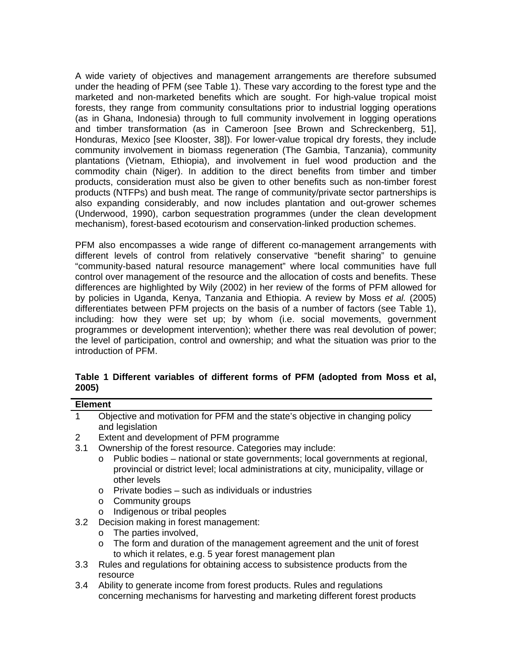A wide variety of objectives and management arrangements are therefore subsumed under the heading of PFM (see Table 1). These vary according to the forest type and the marketed and non-marketed benefits which are sought. For high-value tropical moist forests, they range from community consultations prior to industrial logging operations (as in Ghana, Indonesia) through to full community involvement in logging operations and timber transformation (as in Cameroon [see Brown and Schreckenberg, 51], Honduras, Mexico [see Klooster, 38]). For lower-value tropical dry forests, they include community involvement in biomass regeneration (The Gambia, Tanzania), community plantations (Vietnam, Ethiopia), and involvement in fuel wood production and the commodity chain (Niger). In addition to the direct benefits from timber and timber products, consideration must also be given to other benefits such as non-timber forest products (NTFPs) and bush meat. The range of community/private sector partnerships is also expanding considerably, and now includes plantation and out-grower schemes (Underwood, 1990), carbon sequestration programmes (under the clean development mechanism), forest-based ecotourism and conservation-linked production schemes.

PFM also encompasses a wide range of different co-management arrangements with different levels of control from relatively conservative "benefit sharing" to genuine "community-based natural resource management" where local communities have full control over management of the resource and the allocation of costs and benefits. These differences are highlighted by Wily (2002) in her review of the forms of PFM allowed for by policies in Uganda, Kenya, Tanzania and Ethiopia. A review by Moss *et al.* (2005) differentiates between PFM projects on the basis of a number of factors (see Table 1), including: how they were set up; by whom (i.e. social movements, government programmes or development intervention); whether there was real devolution of power; the level of participation, control and ownership; and what the situation was prior to the introduction of PFM.

|       |  | Table 1 Different variables of different forms of PFM (adopted from Moss et al, |  |  |  |  |  |
|-------|--|---------------------------------------------------------------------------------|--|--|--|--|--|
| 2005) |  |                                                                                 |  |  |  |  |  |

| <b>Element</b>   |                                                                                               |  |  |  |  |
|------------------|-----------------------------------------------------------------------------------------------|--|--|--|--|
| 1                | Objective and motivation for PFM and the state's objective in changing policy                 |  |  |  |  |
|                  | and legislation                                                                               |  |  |  |  |
| 2                | Extent and development of PFM programme                                                       |  |  |  |  |
| 3.1              | Ownership of the forest resource. Categories may include:                                     |  |  |  |  |
|                  | Public bodies – national or state governments; local governments at regional,<br>$\mathsf{O}$ |  |  |  |  |
|                  | provincial or district level; local administrations at city, municipality, village or         |  |  |  |  |
|                  | other levels                                                                                  |  |  |  |  |
|                  | Private bodies – such as individuals or industries<br>$\Omega$                                |  |  |  |  |
|                  | Community groups<br>o                                                                         |  |  |  |  |
|                  | Indigenous or tribal peoples<br>O                                                             |  |  |  |  |
| 3.2              | Decision making in forest management:                                                         |  |  |  |  |
|                  | The parties involved,<br>0                                                                    |  |  |  |  |
|                  | The form and duration of the management agreement and the unit of forest<br>0                 |  |  |  |  |
|                  | to which it relates, e.g. 5 year forest management plan                                       |  |  |  |  |
| 3.3 <sub>2</sub> | Rules and regulations for obtaining access to subsistence products from the                   |  |  |  |  |
|                  | resource                                                                                      |  |  |  |  |
| $3.4^{\circ}$    | Ability to generate income from forest products. Rules and regulations                        |  |  |  |  |
|                  | concerning mechanisms for harvesting and marketing different forest products                  |  |  |  |  |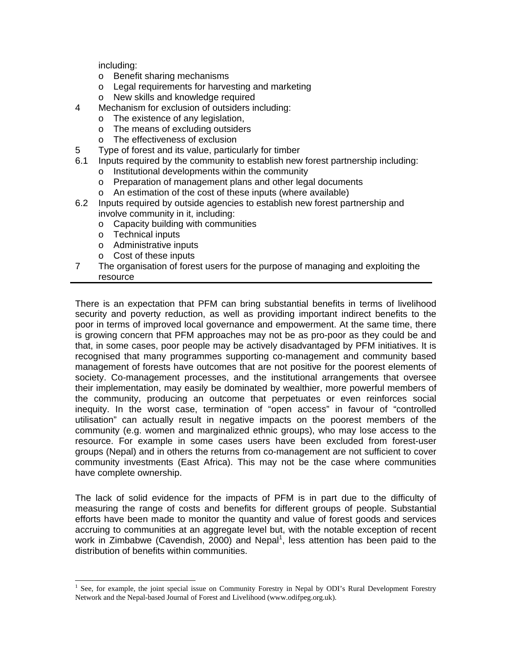including:

- o Benefit sharing mechanisms
- o Legal requirements for harvesting and marketing
- o New skills and knowledge required
- 4 Mechanism for exclusion of outsiders including:
	- o The existence of any legislation,
	- o The means of excluding outsiders
	- o The effectiveness of exclusion
- 5 Type of forest and its value, particularly for timber
- 6.1 Inputs required by the community to establish new forest partnership including:
	- o Institutional developments within the community
	- o Preparation of management plans and other legal documents
	- o An estimation of the cost of these inputs (where available)
- 6.2 Inputs required by outside agencies to establish new forest partnership and involve community in it, including:
	- o Capacity building with communities
	- o Technical inputs

 $\overline{a}$ 

- o Administrative inputs
- o Cost of these inputs
- 7 The organisation of forest users for the purpose of managing and exploiting the resource

There is an expectation that PFM can bring substantial benefits in terms of livelihood security and poverty reduction, as well as providing important indirect benefits to the poor in terms of improved local governance and empowerment. At the same time, there is growing concern that PFM approaches may not be as pro-poor as they could be and that, in some cases, poor people may be actively disadvantaged by PFM initiatives. It is recognised that many programmes supporting co-management and community based management of forests have outcomes that are not positive for the poorest elements of society. Co-management processes, and the institutional arrangements that oversee their implementation, may easily be dominated by wealthier, more powerful members of the community, producing an outcome that perpetuates or even reinforces social inequity. In the worst case, termination of "open access" in favour of "controlled utilisation" can actually result in negative impacts on the poorest members of the community (e.g. women and marginalized ethnic groups), who may lose access to the resource. For example in some cases users have been excluded from forest-user groups (Nepal) and in others the returns from co-management are not sufficient to cover community investments (East Africa). This may not be the case where communities have complete ownership.

The lack of solid evidence for the impacts of PFM is in part due to the difficulty of measuring the range of costs and benefits for different groups of people. Substantial efforts have been made to monitor the quantity and value of forest goods and services accruing to communities at an aggregate level but, with the notable exception of recent work in Zimbabwe (Cavendish, 2000) and Nepal<sup>[1](#page-3-0)</sup>, less attention has been paid to the distribution of benefits within communities.

<span id="page-3-0"></span><sup>&</sup>lt;sup>1</sup> See, for example, the joint special issue on Community Forestry in Nepal by ODI's Rural Development Forestry Network and the Nepal-based Journal of Forest and Livelihood (www.odifpeg.org.uk).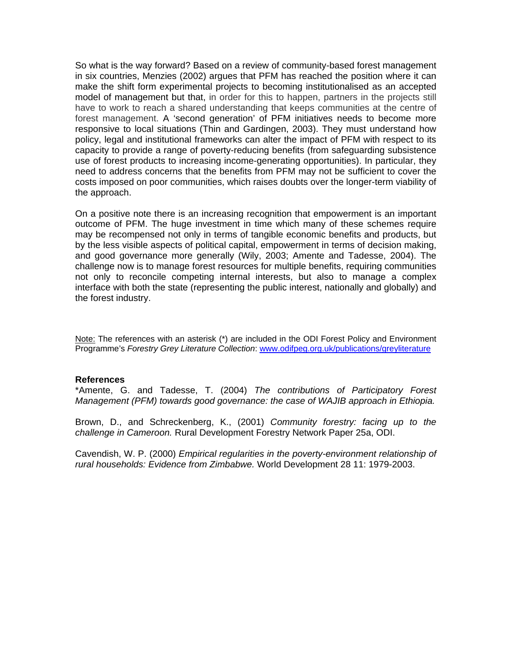So what is the way forward? Based on a review of community-based forest management in six countries, Menzies (2002) argues that PFM has reached the position where it can make the shift form experimental projects to becoming institutionalised as an accepted model of management but that, in order for this to happen, partners in the projects still have to work to reach a shared understanding that keeps communities at the centre of forest management. A 'second generation' of PFM initiatives needs to become more responsive to local situations (Thin and Gardingen, 2003). They must understand how policy, legal and institutional frameworks can alter the impact of PFM with respect to its capacity to provide a range of poverty-reducing benefits (from safeguarding subsistence use of forest products to increasing income-generating opportunities). In particular, they need to address concerns that the benefits from PFM may not be sufficient to cover the costs imposed on poor communities, which raises doubts over the longer-term viability of the approach.

On a positive note there is an increasing recognition that empowerment is an important outcome of PFM. The huge investment in time which many of these schemes require may be recompensed not only in terms of tangible economic benefits and products, but by the less visible aspects of political capital, empowerment in terms of decision making, and good governance more generally (Wily, 2003; Amente and Tadesse, 2004). The challenge now is to manage forest resources for multiple benefits, requiring communities not only to reconcile competing internal interests, but also to manage a complex interface with both the state (representing the public interest, nationally and globally) and the forest industry.

Note: The references with an asterisk (\*) are included in the ODI Forest Policy and Environment Programme's *Forestry Grey Literature Collection*: [www.odifpeg.org.uk/publications/greyliterature](http://www.odifpeg.org.uk/publications/greyliterature)

#### **References**

\*Amente, G. and Tadesse, T. (2004) *The contributions of Participatory Forest Management (PFM) towards good governance: the case of WAJIB approach in Ethiopia.*

Brown, D., and Schreckenberg, K., (2001) *Community forestry: facing up to the challenge in Cameroon.* Rural Development Forestry Network Paper 25a, ODI.

Cavendish, W. P. (2000) *Empirical regularities in the poverty-environment relationship of rural households: Evidence from Zimbabwe.* World Development 28 11: 1979-2003.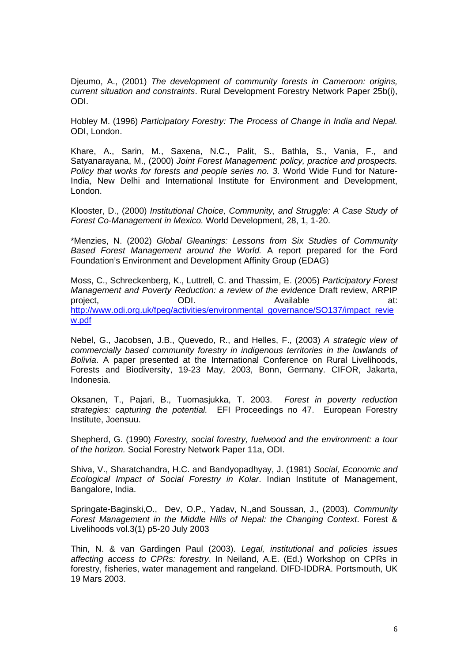Djeumo, A., (2001) *The development of community forests in Cameroon: origins, current situation and constraints*. Rural Development Forestry Network Paper 25b(i), ODI.

Hobley M. (1996) *Participatory Forestry: The Process of Change in India and Nepal.* ODI, London.

Khare, A., Sarin, M., Saxena, N.C., Palit, S., Bathla, S., Vania, F., and Satyanarayana, M., (2000) *Joint Forest Management: policy, practice and prospects. Policy that works for forests and people series no. 3.* World Wide Fund for Nature-India, New Delhi and International Institute for Environment and Development, London.

Klooster, D., (2000) *Institutional Choice, Community, and Struggle: A Case Study of Forest Co-Management in Mexico.* World Development, 28, 1, 1-20.

\*Menzies, N. (2002) *Global Gleanings: Lessons from Six Studies of Community Based Forest Management around the World.* A report prepared for the Ford Foundation's Environment and Development Affinity Group (EDAG)

Moss, C., Schreckenberg, K., Luttrell, C. and Thassim, E. (2005) *Participatory Forest Management and Poverty Reduction: a review of the evidence* Draft review, ARPIP project, and ODI. Available at: [http://www.odi.org.uk/fpeg/activities/environmental\\_governance/SO137/impact\\_revie](http://www.odi.org.uk/fpeg/activities/environmental_governance/SO137/impact_review.pdf) [w.pdf](http://www.odi.org.uk/fpeg/activities/environmental_governance/SO137/impact_review.pdf)

Nebel, G., Jacobsen, J.B., Quevedo, R., and Helles, F., (2003) *A strategic view of commercially based community forestry in indigenous territories in the lowlands of Bolivia*. A paper presented at the International Conference on Rural Livelihoods, Forests and Biodiversity, 19-23 May, 2003, Bonn, Germany. CIFOR, Jakarta, Indonesia.

Oksanen, T., Pajari, B., Tuomasjukka, T. 2003. *Forest in poverty reduction strategies: capturing the potential.* EFI Proceedings no 47. European Forestry Institute, Joensuu.

Shepherd, G. (1990) *Forestry, social forestry, fuelwood and the environment: a tour of the horizon.* Social Forestry Network Paper 11a, ODI.

Shiva, V., Sharatchandra, H.C. and Bandyopadhyay, J. (1981) *Social, Economic and Ecological Impact of Social Forestry in Kolar*. Indian Institute of Management, Bangalore, India.

Springate-Baginski,O., Dev, O.P., Yadav, N.,and Soussan, J., (2003). *Community Forest Management in the Middle Hills of Nepal: the Changing Context*. Forest & Livelihoods vol.3(1) p5-20 July 2003

Thin, N. & van Gardingen Paul (2003). *Legal, institutional and policies issues affecting access to CPRs: forestry*. In Neiland, A.E. (Ed.) Workshop on CPRs in forestry, fisheries, water management and rangeland. DIFD-IDDRA. Portsmouth, UK 19 Mars 2003.